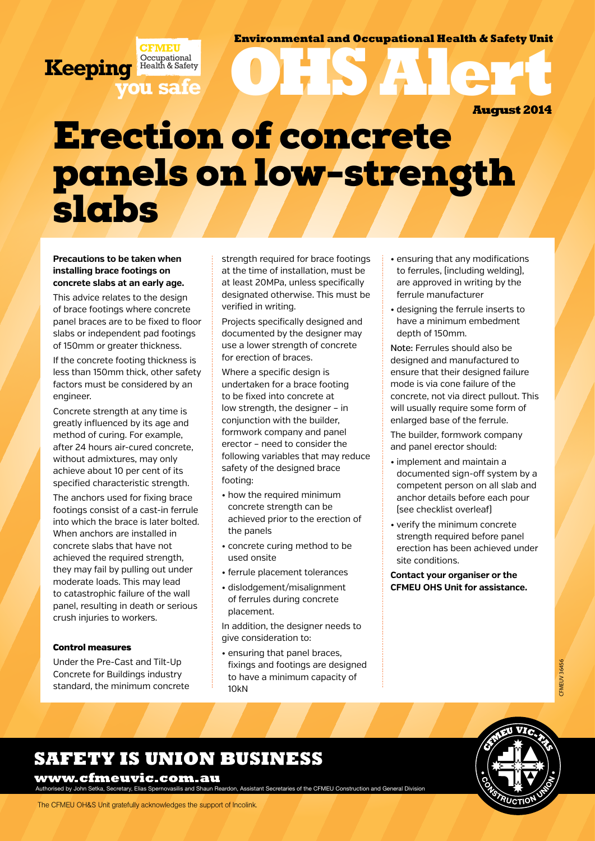### **Environmental and Occupational Health & Safety Unit**

**OHS Alert August 2014**

## **Bone WIREFR CFMEU** panels on low-strength Erection of concrete slabs

#### **Precautions to be taken when installing brace footings on concrete slabs at an early age.**

**Keeping**

**you safe**

**CFMEU Occupational** Health & Safety

This advice relates to the design of brace footings where concrete panel braces are to be fixed to floor slabs or independent pad footings of 150mm or greater thickness.

If the concrete footing thickness is less than 150mm thick, other safety factors must be considered by an engineer.

Concrete strength at any time is greatly influenced by its age and method of curing. For example, after 24 hours air-cured concrete, without admixtures, may only achieve about 10 per cent of its specified characteristic strength.

The anchors used for fixing brace footings consist of a cast-in ferrule into which the brace is later bolted. When anchors are installed in concrete slabs that have not achieved the required strength, they may fail by pulling out under moderate loads. This may lead to catastrophic failure of the wall panel, resulting in death or serious crush injuries to workers.

#### Control measures

Under the Pre-Cast and Tilt-Up Concrete for Buildings industry standard, the minimum concrete strength required for brace footings at the time of installation, must be at least 20MPa, unless specifically designated otherwise. This must be verified in writing.

Projects specifically designed and documented by the designer may use a lower strength of concrete for erection of braces.

Where a specific design is undertaken for a brace footing to be fixed into concrete at low strength, the designer – in conjunction with the builder, formwork company and panel erector – need to consider the following variables that may reduce safety of the designed brace footing:

- how the required minimum concrete strength can be achieved prior to the erection of the panels
- concrete curing method to be used onsite
- ferrule placement tolerances
- dislodgement/misalignment of ferrules during concrete placement.

In addition, the designer needs to give consideration to:

• ensuring that panel braces, fixings and footings are designed to have a minimum capacity of 10kN

- ensuring that any modifications to ferrules, (including welding), are approved in writing by the ferrule manufacturer
- designing the ferrule inserts to have a minimum embedment depth of 150mm.

Note: Ferrules should also be designed and manufactured to ensure that their designed failure mode is via cone failure of the concrete, not via direct pullout. This will usually require some form of enlarged base of the ferrule.

The builder, formwork company and panel erector should:

- implement and maintain a documented sign-off system by a competent person on all slab and anchor details before each pour (see checklist overleaf)
- verify the minimum concrete strength required before panel erection has been achieved under site conditions.

**Contact your organiser or the CFMEU OHS Unit for assistance.**

## **SAFETY IS UNION BUSINESS**

www.cfmeuvic.com.au

ised by John Setka, Secretary, Elias Spernovasilis and Shaun Reardon, Assistant Secretaries of the CFMEU Construction and General Division